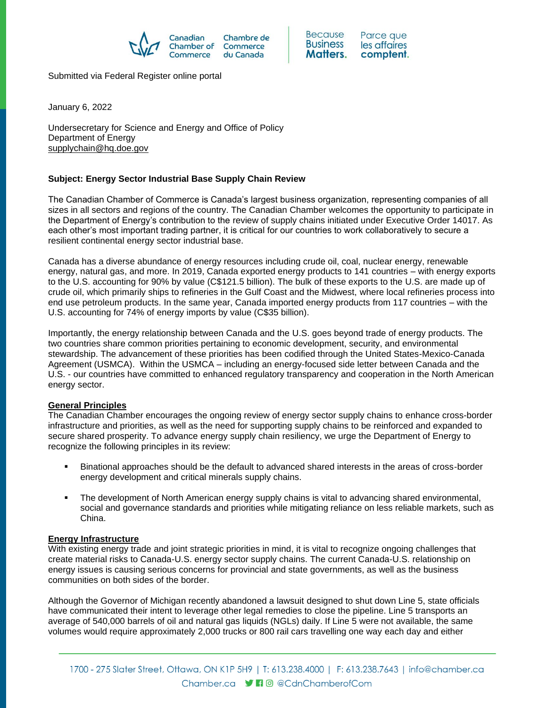



Submitted via Federal Register online portal

January 6, 2022

Undersecretary for Science and Energy and Office of Policy Department of Energy [supplychain@hq.doe.gov](mailto:supplychain@hq.doe.gov)

# **Subject: Energy Sector Industrial Base Supply Chain Review**

The Canadian Chamber of Commerce is Canada's largest business organization, representing companies of all sizes in all sectors and regions of the country. The Canadian Chamber welcomes the opportunity to participate in the Department of Energy's contribution to the review of supply chains initiated under Executive Order 14017. As each other's most important trading partner, it is critical for our countries to work collaboratively to secure a resilient continental energy sector industrial base.

Canada has a diverse abundance of energy resources including crude oil, coal, nuclear energy, renewable energy, natural gas, and more. In 2019, Canada exported energy products to 141 countries – with energy exports to the U.S. accounting for 90% by value (C\$121.5 billion). The bulk of these exports to the U.S. are made up of crude oil, which primarily ships to refineries in the Gulf Coast and the Midwest, where local refineries process into end use petroleum products. In the same year, Canada imported energy products from 117 countries – with the U.S. accounting for 74% of energy imports by value (C\$35 billion).

Importantly, the energy relationship between Canada and the U.S. goes beyond trade of energy products. The two countries share common priorities pertaining to economic development, security, and environmental stewardship. The advancement of these priorities has been codified through the United States-Mexico-Canada Agreement (USMCA). Within the USMCA – including an energy-focused side letter between Canada and the U.S. - our countries have committed to enhanced regulatory transparency and cooperation in the North American energy sector.

## **General Principles**

The Canadian Chamber encourages the ongoing review of energy sector supply chains to enhance cross-border infrastructure and priorities, as well as the need for supporting supply chains to be reinforced and expanded to secure shared prosperity. To advance energy supply chain resiliency, we urge the Department of Energy to recognize the following principles in its review:

- Binational approaches should be the default to advanced shared interests in the areas of cross-border energy development and critical minerals supply chains.
- The development of North American energy supply chains is vital to advancing shared environmental, social and governance standards and priorities while mitigating reliance on less reliable markets, such as China.

### **Energy Infrastructure**

With existing energy trade and joint strategic priorities in mind, it is vital to recognize ongoing challenges that create material risks to Canada-U.S. energy sector supply chains. The current Canada-U.S. relationship on energy issues is causing serious concerns for provincial and state governments, as well as the business communities on both sides of the border.

Although the Governor of Michigan recently abandoned a lawsuit designed to shut down Line 5, state officials have communicated their intent to leverage other legal remedies to close the pipeline. Line 5 transports an average of 540,000 barrels of oil and natural gas liquids (NGLs) daily. If Line 5 were not available, the same volumes would require approximately 2,000 trucks or 800 rail cars travelling one way each day and either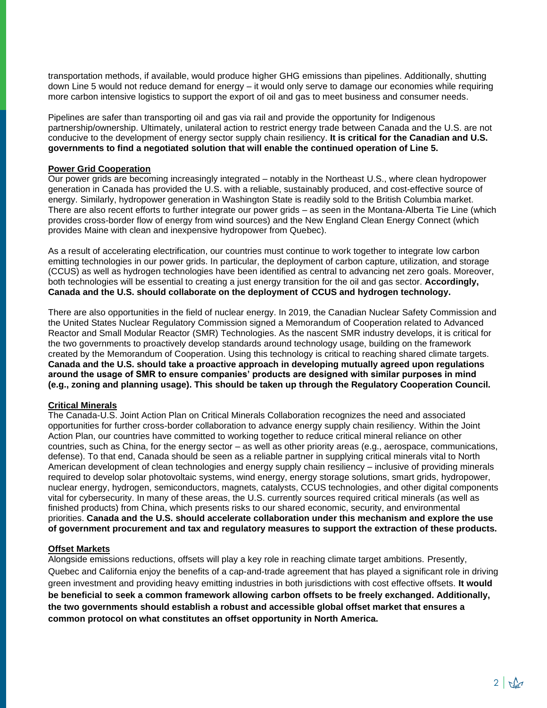transportation methods, if available, would produce higher GHG emissions than pipelines. Additionally, shutting down Line 5 would not reduce demand for energy – it would only serve to damage our economies while requiring more carbon intensive logistics to support the export of oil and gas to meet business and consumer needs.

Pipelines are safer than transporting oil and gas via rail and provide the opportunity for Indigenous partnership/ownership. Ultimately, unilateral action to restrict energy trade between Canada and the U.S. are not conducive to the development of energy sector supply chain resiliency. **It is critical for the Canadian and U.S. governments to find a negotiated solution that will enable the continued operation of Line 5.** 

### **Power Grid Cooperation**

Our power grids are becoming increasingly integrated – notably in the Northeast U.S., where clean hydropower generation in Canada has provided the U.S. with a reliable, sustainably produced, and cost-effective source of energy. Similarly, hydropower generation in Washington State is readily sold to the British Columbia market. There are also recent efforts to further integrate our power grids – as seen in the Montana-Alberta Tie Line (which provides cross-border flow of energy from wind sources) and the New England Clean Energy Connect (which provides Maine with clean and inexpensive hydropower from Quebec).

As a result of accelerating electrification, our countries must continue to work together to integrate low carbon emitting technologies in our power grids. In particular, the deployment of carbon capture, utilization, and storage (CCUS) as well as hydrogen technologies have been identified as central to advancing net zero goals. Moreover, both technologies will be essential to creating a just energy transition for the oil and gas sector. **Accordingly, Canada and the U.S. should collaborate on the deployment of CCUS and hydrogen technology.** 

There are also opportunities in the field of nuclear energy. In 2019, the Canadian Nuclear Safety Commission and the United States Nuclear Regulatory Commission signed a Memorandum of Cooperation related to Advanced Reactor and Small Modular Reactor (SMR) Technologies. As the nascent SMR industry develops, it is critical for the two governments to proactively develop standards around technology usage, building on the framework created by the Memorandum of Cooperation. Using this technology is critical to reaching shared climate targets. **Canada and the U.S. should take a proactive approach in developing mutually agreed upon regulations around the usage of SMR to ensure companies' products are designed with similar purposes in mind (e.g., zoning and planning usage). This should be taken up through the Regulatory Cooperation Council.**

## **Critical Minerals**

The Canada-U.S. Joint Action Plan on Critical Minerals Collaboration recognizes the need and associated opportunities for further cross-border collaboration to advance energy supply chain resiliency. Within the Joint Action Plan, our countries have committed to working together to reduce critical mineral reliance on other countries, such as China, for the energy sector – as well as other priority areas (e.g., aerospace, communications, defense). To that end, Canada should be seen as a reliable partner in supplying critical minerals vital to North American development of clean technologies and energy supply chain resiliency – inclusive of providing minerals required to develop solar photovoltaic systems, wind energy, energy storage solutions, smart grids, hydropower, nuclear energy, hydrogen, semiconductors, magnets, catalysts, CCUS technologies, and other digital components vital for cybersecurity. In many of these areas, the U.S. currently sources required critical minerals (as well as finished products) from China, which presents risks to our shared economic, security, and environmental priorities. **Canada and the U.S. should accelerate collaboration under this mechanism and explore the use of government procurement and tax and regulatory measures to support the extraction of these products.** 

#### **Offset Markets**

Alongside emissions reductions, offsets will play a key role in reaching climate target ambitions. Presently, Quebec and California enjoy the benefits of a cap-and-trade agreement that has played a significant role in driving green investment and providing heavy emitting industries in both jurisdictions with cost effective offsets. **It would be beneficial to seek a common framework allowing carbon offsets to be freely exchanged. Additionally, the two governments should establish a robust and accessible global offset market that ensures a common protocol on what constitutes an offset opportunity in North America.**